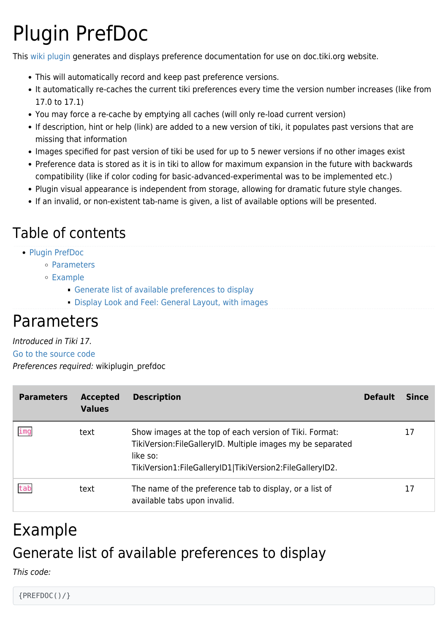# Plugin PrefDoc

This [wiki plugin](https://doc.tiki.org/wiki%20plugin) generates and displays preference documentation for use on doc.tiki.org website.

- This will automatically record and keep past preference versions.
- It automatically re-caches the current tiki preferences every time the version number increases (like from 17.0 to 17.1)
- You may force a re-cache by emptying all caches (will only re-load current version)
- If description, hint or help (link) are added to a new version of tiki, it populates past versions that are missing that information
- Images specified for past version of tiki be used for up to 5 newer versions if no other images exist
- Preference data is stored as it is in tiki to allow for maximum expansion in the future with backwards compatibility (like if color coding for basic-advanced-experimental was to be implemented etc.)
- Plugin visual appearance is independent from storage, allowing for dramatic future style changes.
- If an invalid, or non-existent tab-name is given, a list of available options will be presented.

### Table of contents

- [Plugin PrefDoc](#page--1-0)
	- [Parameters](#page--1-0)
	- [Example](#page--1-0)
		- [Generate list of available preferences to display](#page--1-0)
		- [Display Look and Feel: General Layout, with images](#page--1-0)

### Parameters

### Introduced in Tiki 17.

[Go to the source code](https://gitlab.com/tikiwiki/tiki/-/blob/master/lib/wiki-plugins/wikiplugin_prefdoc.php)

Preferences required: wikiplugin\_prefdoc

| <b>Parameters</b> | <b>Accepted</b><br><b>Values</b> | <b>Description</b>                                                                                                                                                                             | <b>Default</b> | <b>Since</b> |
|-------------------|----------------------------------|------------------------------------------------------------------------------------------------------------------------------------------------------------------------------------------------|----------------|--------------|
| img               | text                             | Show images at the top of each version of Tiki. Format:<br>TikiVersion: FileGalleryID. Multiple images my be separated<br>like so:<br>TikiVersion1:FileGalleryID1 TikiVersion2:FileGalleryID2. |                | 17           |
| tab               | text                             | The name of the preference tab to display, or a list of<br>available tabs upon invalid.                                                                                                        |                | 17           |

## Example Generate list of available preferences to display

This code:

{PREFDOC()/}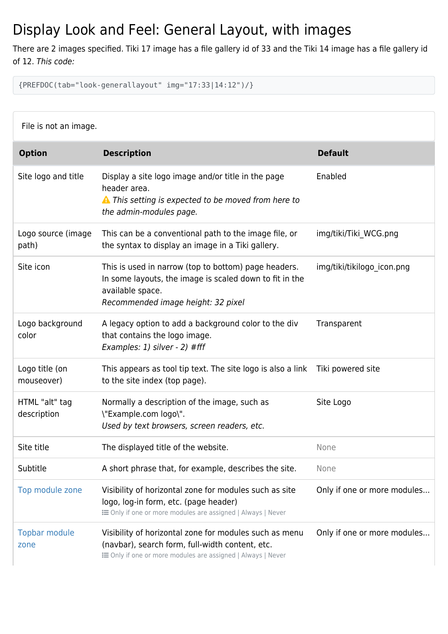### Display Look and Feel: General Layout, with images

There are 2 images specified. Tiki 17 image has a file gallery id of 33 and the Tiki 14 image has a file gallery id of 12. This code:

{PREFDOC(tab="look-generallayout" img="17:33|14:12")/}

| File is not an image.         |                                                                                                                                                                           |                             |  |
|-------------------------------|---------------------------------------------------------------------------------------------------------------------------------------------------------------------------|-----------------------------|--|
| <b>Option</b>                 | <b>Description</b>                                                                                                                                                        | <b>Default</b>              |  |
| Site logo and title           | Display a site logo image and/or title in the page<br>header area.<br>A This setting is expected to be moved from here to<br>the admin-modules page.                      | Enabled                     |  |
| Logo source (image<br>path)   | This can be a conventional path to the image file, or<br>the syntax to display an image in a Tiki gallery.                                                                | img/tiki/Tiki_WCG.png       |  |
| Site icon                     | This is used in narrow (top to bottom) page headers.<br>In some layouts, the image is scaled down to fit in the<br>available space.<br>Recommended image height: 32 pixel | img/tiki/tikilogo icon.png  |  |
| Logo background<br>color      | A legacy option to add a background color to the div<br>that contains the logo image.<br>Examples: 1) silver - 2) #fff                                                    | Transparent                 |  |
| Logo title (on<br>mouseover)  | This appears as tool tip text. The site logo is also a link<br>to the site index (top page).                                                                              | Tiki powered site           |  |
| HTML "alt" tag<br>description | Normally a description of the image, such as<br>\"Example.com logo\".<br>Used by text browsers, screen readers, etc.                                                      | Site Logo                   |  |
| Site title                    | The displayed title of the website.                                                                                                                                       | None                        |  |
| Subtitle                      | A short phrase that, for example, describes the site.                                                                                                                     | None                        |  |
| Top module zone               | Visibility of horizontal zone for modules such as site<br>logo, log-in form, etc. (page header)<br>E Only if one or more modules are assigned   Always   Never            | Only if one or more modules |  |
| <b>Topbar module</b><br>zone  | Visibility of horizontal zone for modules such as menu<br>(navbar), search form, full-width content, etc.<br>E Only if one or more modules are assigned   Always   Never  | Only if one or more modules |  |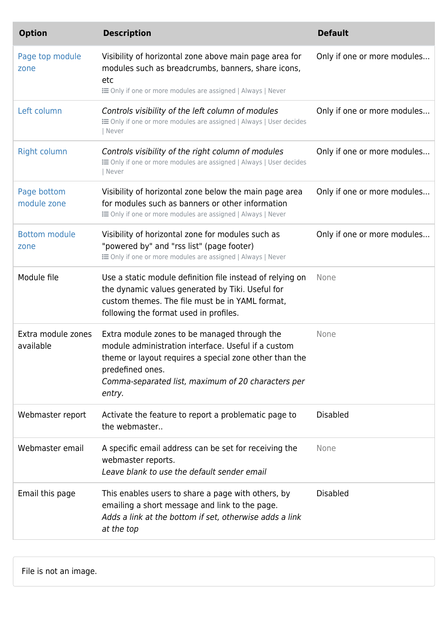| <b>Option</b>                   | <b>Description</b>                                                                                                                                                                                                                                | <b>Default</b>              |
|---------------------------------|---------------------------------------------------------------------------------------------------------------------------------------------------------------------------------------------------------------------------------------------------|-----------------------------|
| Page top module<br>zone         | Visibility of horizontal zone above main page area for<br>modules such as breadcrumbs, banners, share icons,<br>etc<br>E Only if one or more modules are assigned   Always   Never                                                                | Only if one or more modules |
| Left column                     | Controls visibility of the left column of modules<br>E Only if one or more modules are assigned   Always   User decides<br>Never                                                                                                                  | Only if one or more modules |
| <b>Right column</b>             | Controls visibility of the right column of modules<br>E Only if one or more modules are assigned   Always   User decides<br>Never                                                                                                                 | Only if one or more modules |
| Page bottom<br>module zone      | Visibility of horizontal zone below the main page area<br>for modules such as banners or other information<br>E Only if one or more modules are assigned   Always   Never                                                                         | Only if one or more modules |
| <b>Bottom module</b><br>zone    | Visibility of horizontal zone for modules such as<br>"powered by" and "rss list" (page footer)<br>E Only if one or more modules are assigned   Always   Never                                                                                     | Only if one or more modules |
| Module file                     | Use a static module definition file instead of relying on<br>the dynamic values generated by Tiki. Useful for<br>custom themes. The file must be in YAML format,<br>following the format used in profiles.                                        | None                        |
| Extra module zones<br>available | Extra module zones to be managed through the<br>module administration interface. Useful if a custom<br>theme or layout requires a special zone other than the<br>predefined ones.<br>Comma-separated list, maximum of 20 characters per<br>entry. | None                        |
| Webmaster report                | Activate the feature to report a problematic page to<br>the webmaster                                                                                                                                                                             | <b>Disabled</b>             |
| Webmaster email                 | A specific email address can be set for receiving the<br>webmaster reports.<br>Leave blank to use the default sender email                                                                                                                        | None                        |
| Email this page                 | This enables users to share a page with others, by<br>emailing a short message and link to the page.<br>Adds a link at the bottom if set, otherwise adds a link<br>at the top                                                                     | <b>Disabled</b>             |

File is not an image.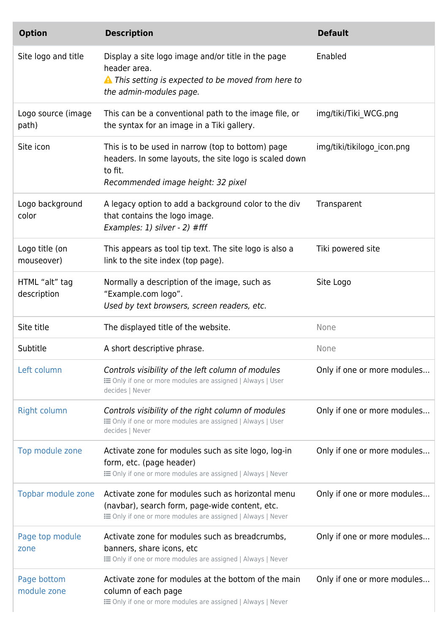| <b>Option</b>                 | <b>Description</b>                                                                                                                                                 | <b>Default</b>              |
|-------------------------------|--------------------------------------------------------------------------------------------------------------------------------------------------------------------|-----------------------------|
| Site logo and title           | Display a site logo image and/or title in the page<br>header area.<br>A This setting is expected to be moved from here to<br>the admin-modules page.               | Enabled                     |
| Logo source (image<br>path)   | This can be a conventional path to the image file, or<br>the syntax for an image in a Tiki gallery.                                                                | img/tiki/Tiki_WCG.png       |
| Site icon                     | This is to be used in narrow (top to bottom) page<br>headers. In some layouts, the site logo is scaled down<br>to fit.<br>Recommended image height: 32 pixel       | img/tiki/tikilogo icon.png  |
| Logo background<br>color      | A legacy option to add a background color to the div<br>that contains the logo image.<br>Examples: 1) silver - 2) #fff                                             | Transparent                 |
| Logo title (on<br>mouseover)  | This appears as tool tip text. The site logo is also a<br>link to the site index (top page).                                                                       | Tiki powered site           |
| HTML "alt" tag<br>description | Normally a description of the image, such as<br>"Example.com logo".<br>Used by text browsers, screen readers, etc.                                                 | Site Logo                   |
| Site title                    | The displayed title of the website.                                                                                                                                | None                        |
| Subtitle                      | A short descriptive phrase.                                                                                                                                        | None                        |
| Left column                   | Controls visibility of the left column of modules<br>E Only if one or more modules are assigned   Always   User<br>decides   Never                                 | Only if one or more modules |
| <b>Right column</b>           | Controls visibility of the right column of modules<br>E Only if one or more modules are assigned   Always   User<br>decides   Never                                | Only if one or more modules |
| Top module zone               |                                                                                                                                                                    |                             |
|                               | Activate zone for modules such as site logo, log-in<br>form, etc. (page header)<br>E Only if one or more modules are assigned   Always   Never                     | Only if one or more modules |
| Topbar module zone            | Activate zone for modules such as horizontal menu<br>(navbar), search form, page-wide content, etc.<br>E Only if one or more modules are assigned   Always   Never | Only if one or more modules |
| Page top module<br>zone       | Activate zone for modules such as breadcrumbs,<br>banners, share icons, etc<br>E Only if one or more modules are assigned   Always   Never                         | Only if one or more modules |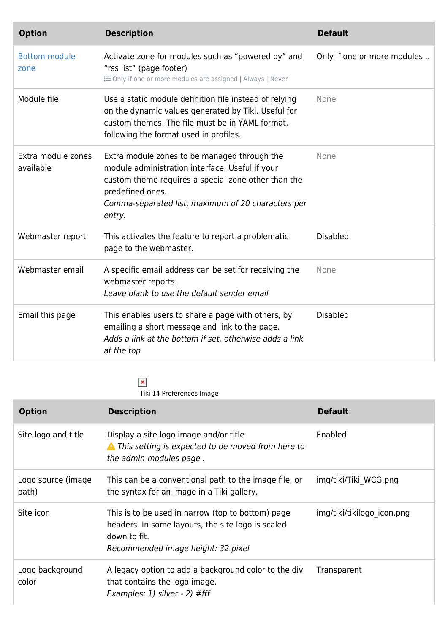| <b>Option</b>                   | <b>Description</b>                                                                                                                                                                                                                         | <b>Default</b>              |
|---------------------------------|--------------------------------------------------------------------------------------------------------------------------------------------------------------------------------------------------------------------------------------------|-----------------------------|
| <b>Bottom module</b><br>zone    | Activate zone for modules such as "powered by" and<br>"rss list" (page footer)<br>E Only if one or more modules are assigned   Always   Never                                                                                              | Only if one or more modules |
| Module file                     | Use a static module definition file instead of relying<br>on the dynamic values generated by Tiki. Useful for<br>custom themes. The file must be in YAML format,<br>following the format used in profiles.                                 | None                        |
| Extra module zones<br>available | Extra module zones to be managed through the<br>module administration interface. Useful if your<br>custom theme requires a special zone other than the<br>predefined ones.<br>Comma-separated list, maximum of 20 characters per<br>entry. | None                        |
| Webmaster report                | This activates the feature to report a problematic<br>page to the webmaster.                                                                                                                                                               | <b>Disabled</b>             |
| Webmaster email                 | A specific email address can be set for receiving the<br>webmaster reports.<br>Leave blank to use the default sender email                                                                                                                 | None                        |
| Email this page                 | This enables users to share a page with others, by<br>emailing a short message and link to the page.<br>Adds a link at the bottom if set, otherwise adds a link<br>at the top                                                              | <b>Disabled</b>             |

**x**<br>Tiki 14 Preferences Image

| <b>Option</b>               | <b>Description</b>                                                                                                                                           | <b>Default</b>             |
|-----------------------------|--------------------------------------------------------------------------------------------------------------------------------------------------------------|----------------------------|
| Site logo and title         | Display a site logo image and/or title<br>A This setting is expected to be moved from here to<br>the admin-modules page.                                     | Enabled                    |
| Logo source (image<br>path) | This can be a conventional path to the image file, or<br>the syntax for an image in a Tiki gallery.                                                          | img/tiki/Tiki WCG.png      |
| Site icon                   | This is to be used in narrow (top to bottom) page<br>headers. In some layouts, the site logo is scaled<br>down to fit.<br>Recommended image height: 32 pixel | img/tiki/tikilogo_icon.png |
| Logo background<br>color    | A legacy option to add a background color to the div<br>that contains the logo image.<br>Examples: $1)$ silver - $2)$ #fff                                   | Transparent                |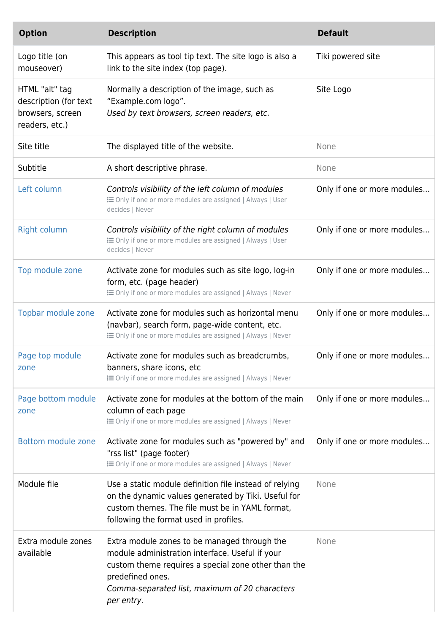| <b>Option</b>                                                                 | <b>Description</b>                                                                                                                                                                                                                         | <b>Default</b>              |
|-------------------------------------------------------------------------------|--------------------------------------------------------------------------------------------------------------------------------------------------------------------------------------------------------------------------------------------|-----------------------------|
| Logo title (on<br>mouseover)                                                  | This appears as tool tip text. The site logo is also a<br>link to the site index (top page).                                                                                                                                               | Tiki powered site           |
| HTML "alt" tag<br>description (for text<br>browsers, screen<br>readers, etc.) | Normally a description of the image, such as<br>"Example.com logo".<br>Used by text browsers, screen readers, etc.                                                                                                                         | Site Logo                   |
| Site title                                                                    | The displayed title of the website.                                                                                                                                                                                                        | None                        |
| Subtitle                                                                      | A short descriptive phrase.                                                                                                                                                                                                                | None                        |
| Left column                                                                   | Controls visibility of the left column of modules<br>E Only if one or more modules are assigned   Always   User<br>decides   Never                                                                                                         | Only if one or more modules |
| <b>Right column</b>                                                           | Controls visibility of the right column of modules<br>E Only if one or more modules are assigned   Always   User<br>decides   Never                                                                                                        | Only if one or more modules |
| Top module zone                                                               | Activate zone for modules such as site logo, log-in<br>form, etc. (page header)<br>E Only if one or more modules are assigned   Always   Never                                                                                             | Only if one or more modules |
| Topbar module zone                                                            | Activate zone for modules such as horizontal menu<br>(navbar), search form, page-wide content, etc.<br>E Only if one or more modules are assigned   Always   Never                                                                         | Only if one or more modules |
| Page top module<br>zone                                                       | Activate zone for modules such as breadcrumbs,<br>banners, share icons, etc<br>E Only if one or more modules are assigned   Always   Never                                                                                                 | Only if one or more modules |
| Page bottom module<br>zone                                                    | Activate zone for modules at the bottom of the main<br>column of each page<br>E Only if one or more modules are assigned   Always   Never                                                                                                  | Only if one or more modules |
| Bottom module zone                                                            | Activate zone for modules such as "powered by" and<br>"rss list" (page footer)<br>E Only if one or more modules are assigned   Always   Never                                                                                              | Only if one or more modules |
| Module file                                                                   | Use a static module definition file instead of relying<br>on the dynamic values generated by Tiki. Useful for<br>custom themes. The file must be in YAML format,<br>following the format used in profiles.                                 | None                        |
| Extra module zones<br>available                                               | Extra module zones to be managed through the<br>module administration interface. Useful if your<br>custom theme requires a special zone other than the<br>predefined ones.<br>Comma-separated list, maximum of 20 characters<br>per entry. | None                        |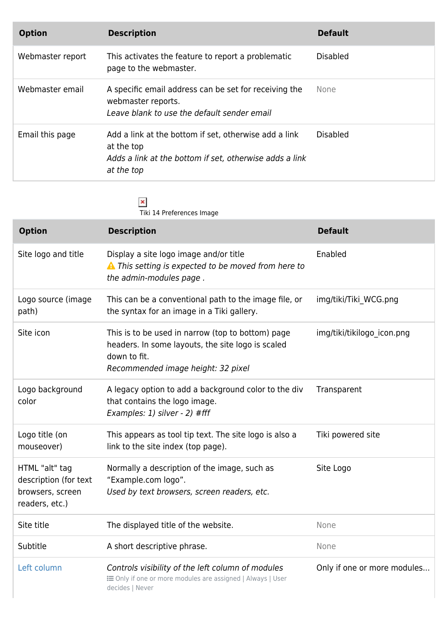| <b>Option</b>    | <b>Description</b>                                                                                                                           | <b>Default</b>  |
|------------------|----------------------------------------------------------------------------------------------------------------------------------------------|-----------------|
| Webmaster report | This activates the feature to report a problematic<br>page to the webmaster.                                                                 | <b>Disabled</b> |
| Webmaster email  | A specific email address can be set for receiving the<br>webmaster reports.<br>Leave blank to use the default sender email                   | None            |
| Email this page  | Add a link at the bottom if set, otherwise add a link<br>at the top<br>Adds a link at the bottom if set, otherwise adds a link<br>at the top | <b>Disabled</b> |

**x**<br>Tiki 14 Preferences Image

| <b>Option</b>                                                                 | <b>Description</b>                                                                                                                                           | <b>Default</b>              |
|-------------------------------------------------------------------------------|--------------------------------------------------------------------------------------------------------------------------------------------------------------|-----------------------------|
| Site logo and title                                                           | Display a site logo image and/or title<br>A This setting is expected to be moved from here to<br>the admin-modules page.                                     | Enabled                     |
| Logo source (image<br>path)                                                   | This can be a conventional path to the image file, or<br>the syntax for an image in a Tiki gallery.                                                          | img/tiki/Tiki_WCG.png       |
| Site icon                                                                     | This is to be used in narrow (top to bottom) page<br>headers. In some layouts, the site logo is scaled<br>down to fit.<br>Recommended image height: 32 pixel | img/tiki/tikilogo icon.png  |
| Logo background<br>color                                                      | A legacy option to add a background color to the div<br>that contains the logo image.<br>Examples: 1) silver - 2) #fff                                       | Transparent                 |
| Logo title (on<br>mouseover)                                                  | This appears as tool tip text. The site logo is also a<br>link to the site index (top page).                                                                 | Tiki powered site           |
| HTML "alt" tag<br>description (for text<br>browsers, screen<br>readers, etc.) | Normally a description of the image, such as<br>"Example.com logo".<br>Used by text browsers, screen readers, etc.                                           | Site Logo                   |
| Site title                                                                    | The displayed title of the website.                                                                                                                          | None                        |
| Subtitle                                                                      | A short descriptive phrase.                                                                                                                                  | None                        |
| Left column                                                                   | Controls visibility of the left column of modules<br><b>E</b> Only if one or more modules are assigned   Always   User<br>decides   Never                    | Only if one or more modules |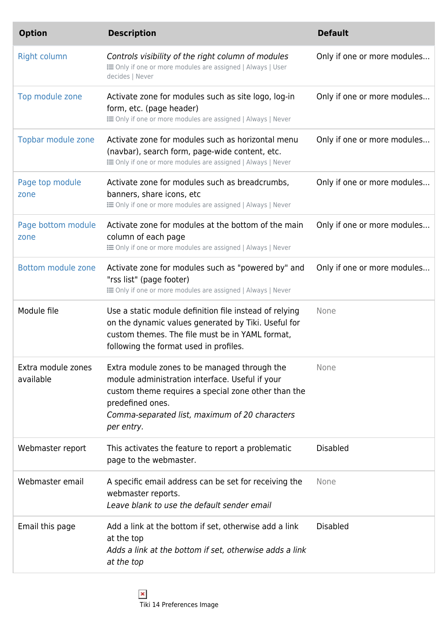| <b>Option</b>                   | <b>Description</b>                                                                                                                                                                                                                         | <b>Default</b>              |
|---------------------------------|--------------------------------------------------------------------------------------------------------------------------------------------------------------------------------------------------------------------------------------------|-----------------------------|
| <b>Right column</b>             | Controls visibility of the right column of modules<br><b>EXECUTE:</b> Only if one or more modules are assigned   Always   User<br>decides   Never                                                                                          | Only if one or more modules |
| Top module zone                 | Activate zone for modules such as site logo, log-in<br>form, etc. (page header)<br><b>EXECUTE:</b> Only if one or more modules are assigned   Always   Never                                                                               | Only if one or more modules |
| Topbar module zone              | Activate zone for modules such as horizontal menu<br>(navbar), search form, page-wide content, etc.<br><b>EXECUTE:</b> Only if one or more modules are assigned   Always   Never                                                           | Only if one or more modules |
| Page top module<br>zone         | Activate zone for modules such as breadcrumbs,<br>banners, share icons, etc<br><b>EXECUTE:</b> Only if one or more modules are assigned   Always   Never                                                                                   | Only if one or more modules |
| Page bottom module<br>zone      | Activate zone for modules at the bottom of the main<br>column of each page<br><b>EXECUTE:</b> Only if one or more modules are assigned   Always   Never                                                                                    | Only if one or more modules |
| Bottom module zone              | Activate zone for modules such as "powered by" and<br>"rss list" (page footer)<br><b>EXECUTE:</b> Only if one or more modules are assigned   Always   Never                                                                                | Only if one or more modules |
| Module file                     | Use a static module definition file instead of relying<br>on the dynamic values generated by Tiki. Useful for<br>custom themes. The file must be in YAML format,<br>following the format used in profiles.                                 | None                        |
| Extra module zones<br>available | Extra module zones to be managed through the<br>module administration interface. Useful if your<br>custom theme requires a special zone other than the<br>predefined ones.<br>Comma-separated list, maximum of 20 characters<br>per entry. | None                        |
| Webmaster report                | This activates the feature to report a problematic<br>page to the webmaster.                                                                                                                                                               | <b>Disabled</b>             |
| Webmaster email                 | A specific email address can be set for receiving the<br>webmaster reports.<br>Leave blank to use the default sender email                                                                                                                 | None                        |
| Email this page                 | Add a link at the bottom if set, otherwise add a link<br>at the top<br>Adds a link at the bottom if set, otherwise adds a link<br>at the top                                                                                               | <b>Disabled</b>             |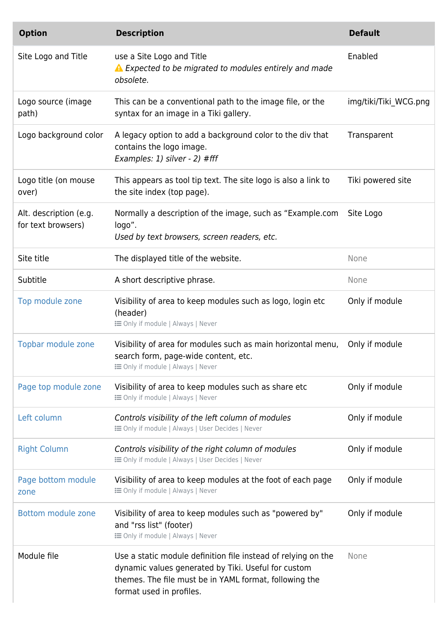| <b>Option</b>                                | <b>Description</b>                                                                                                                                                                                         | <b>Default</b>        |
|----------------------------------------------|------------------------------------------------------------------------------------------------------------------------------------------------------------------------------------------------------------|-----------------------|
| Site Logo and Title                          | use a Site Logo and Title<br>▲ Expected to be migrated to modules entirely and made<br>obsolete.                                                                                                           | Enabled               |
| Logo source (image<br>path)                  | This can be a conventional path to the image file, or the<br>syntax for an image in a Tiki gallery.                                                                                                        | img/tiki/Tiki WCG.png |
| Logo background color                        | A legacy option to add a background color to the div that<br>contains the logo image.<br>Examples: 1) silver - 2) #fff                                                                                     | Transparent           |
| Logo title (on mouse<br>over)                | This appears as tool tip text. The site logo is also a link to<br>the site index (top page).                                                                                                               | Tiki powered site     |
| Alt. description (e.g.<br>for text browsers) | Normally a description of the image, such as "Example.com<br>logo".<br>Used by text browsers, screen readers, etc.                                                                                         | Site Logo             |
| Site title                                   | The displayed title of the website.                                                                                                                                                                        | None                  |
| Subtitle                                     | A short descriptive phrase.                                                                                                                                                                                | None                  |
| Top module zone                              | Visibility of area to keep modules such as logo, login etc<br>(header)<br><b>i</b> Only if module   Always   Never                                                                                         | Only if module        |
| Topbar module zone                           | Visibility of area for modules such as main horizontal menu,<br>search form, page-wide content, etc.<br><b>i</b> Only if module   Always   Never                                                           | Only if module        |
| Page top module zone                         | Visibility of area to keep modules such as share etc<br><b>i</b> Only if module   Always   Never                                                                                                           | Only if module        |
| Left column                                  | Controls visibility of the left column of modules<br><b>E</b> Only if module   Always   User Decides   Never                                                                                               | Only if module        |
| <b>Right Column</b>                          | Controls visibility of the right column of modules<br><b>E</b> Only if module   Always   User Decides   Never                                                                                              | Only if module        |
| Page bottom module<br>zone                   | Visibility of area to keep modules at the foot of each page<br><b>i</b> Only if module   Always   Never                                                                                                    | Only if module        |
| Bottom module zone                           | Visibility of area to keep modules such as "powered by"<br>and "rss list" (footer)<br><b>i</b> Only if module   Always   Never                                                                             | Only if module        |
| Module file                                  | Use a static module definition file instead of relying on the<br>dynamic values generated by Tiki. Useful for custom<br>themes. The file must be in YAML format, following the<br>format used in profiles. | None                  |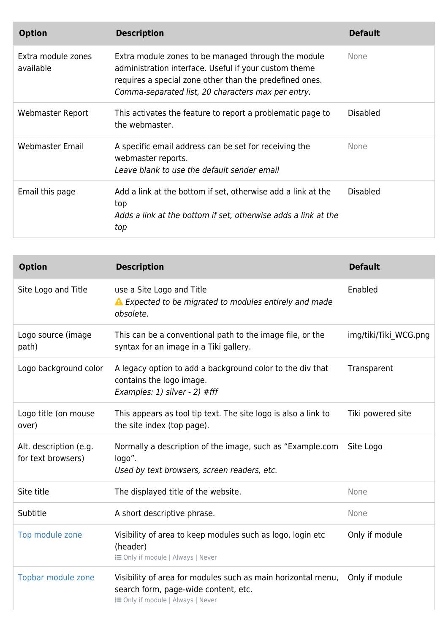| <b>Option</b>                   | <b>Description</b>                                                                                                                                                                                                            | <b>Default</b>  |
|---------------------------------|-------------------------------------------------------------------------------------------------------------------------------------------------------------------------------------------------------------------------------|-----------------|
| Extra module zones<br>available | Extra module zones to be managed through the module<br>administration interface. Useful if your custom theme<br>requires a special zone other than the predefined ones.<br>Comma-separated list, 20 characters max per entry. | <b>None</b>     |
| Webmaster Report                | This activates the feature to report a problematic page to<br>the webmaster.                                                                                                                                                  | <b>Disabled</b> |
| Webmaster Email                 | A specific email address can be set for receiving the<br>webmaster reports.<br>Leave blank to use the default sender email                                                                                                    | <b>None</b>     |
| Email this page                 | Add a link at the bottom if set, otherwise add a link at the<br>top<br>Adds a link at the bottom if set, otherwise adds a link at the<br>top                                                                                  | <b>Disabled</b> |

| <b>Option</b>                                | <b>Description</b>                                                                                                                               | <b>Default</b>        |
|----------------------------------------------|--------------------------------------------------------------------------------------------------------------------------------------------------|-----------------------|
| Site Logo and Title                          | use a Site Logo and Title<br>▲ Expected to be migrated to modules entirely and made<br>obsolete.                                                 | Enabled               |
| Logo source (image<br>path)                  | This can be a conventional path to the image file, or the<br>syntax for an image in a Tiki gallery.                                              | img/tiki/Tiki WCG.png |
| Logo background color                        | A legacy option to add a background color to the div that<br>contains the logo image.<br>Examples: 1) silver - 2) #fff                           | Transparent           |
| Logo title (on mouse<br>over)                | This appears as tool tip text. The site logo is also a link to<br>the site index (top page).                                                     | Tiki powered site     |
| Alt. description (e.g.<br>for text browsers) | Normally a description of the image, such as "Example.com<br>logo".<br>Used by text browsers, screen readers, etc.                               | Site Logo             |
| Site title                                   | The displayed title of the website.                                                                                                              | None                  |
| Subtitle                                     | A short descriptive phrase.                                                                                                                      | None                  |
| Top module zone                              | Visibility of area to keep modules such as logo, login etc<br>(header)<br><b>i</b> Only if module   Always   Never                               | Only if module        |
| Topbar module zone                           | Visibility of area for modules such as main horizontal menu,<br>search form, page-wide content, etc.<br><b>i</b> Only if module   Always   Never | Only if module        |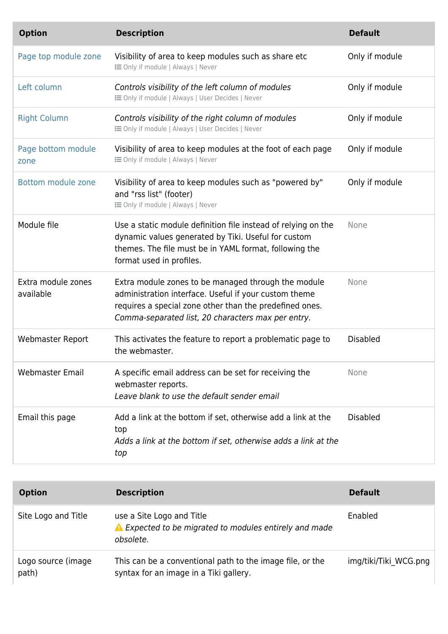| <b>Option</b>                   | <b>Description</b>                                                                                                                                                                                                            | <b>Default</b>  |
|---------------------------------|-------------------------------------------------------------------------------------------------------------------------------------------------------------------------------------------------------------------------------|-----------------|
| Page top module zone            | Visibility of area to keep modules such as share etc<br><b>i</b> Only if module   Always   Never                                                                                                                              | Only if module  |
| Left column                     | Controls visibility of the left column of modules<br><b>IE Only if module   Always   User Decides   Never</b>                                                                                                                 | Only if module  |
| <b>Right Column</b>             | Controls visibility of the right column of modules<br><b>IE Only if module   Always   User Decides   Never</b>                                                                                                                | Only if module  |
| Page bottom module<br>zone      | Visibility of area to keep modules at the foot of each page<br><b>i</b> Only if module   Always   Never                                                                                                                       | Only if module  |
| Bottom module zone              | Visibility of area to keep modules such as "powered by"<br>and "rss list" (footer)<br><b>i</b> Only if module   Always   Never                                                                                                | Only if module  |
| Module file                     | Use a static module definition file instead of relying on the<br>dynamic values generated by Tiki. Useful for custom<br>themes. The file must be in YAML format, following the<br>format used in profiles.                    | None            |
| Extra module zones<br>available | Extra module zones to be managed through the module<br>administration interface. Useful if your custom theme<br>requires a special zone other than the predefined ones.<br>Comma-separated list, 20 characters max per entry. | None            |
| <b>Webmaster Report</b>         | This activates the feature to report a problematic page to<br>the webmaster.                                                                                                                                                  | <b>Disabled</b> |
| <b>Webmaster Email</b>          | A specific email address can be set for receiving the<br>webmaster reports.<br>Leave blank to use the default sender email                                                                                                    | None            |
| Email this page                 | Add a link at the bottom if set, otherwise add a link at the<br>top<br>Adds a link at the bottom if set, otherwise adds a link at the<br>top                                                                                  | <b>Disabled</b> |

| <b>Option</b>               | <b>Description</b>                                                                                  | <b>Default</b>        |
|-----------------------------|-----------------------------------------------------------------------------------------------------|-----------------------|
| Site Logo and Title         | use a Site Logo and Title<br>▲ Expected to be migrated to modules entirely and made<br>obsolete.    | Enabled               |
| Logo source (image<br>path) | This can be a conventional path to the image file, or the<br>syntax for an image in a Tiki gallery. | img/tiki/Tiki WCG.png |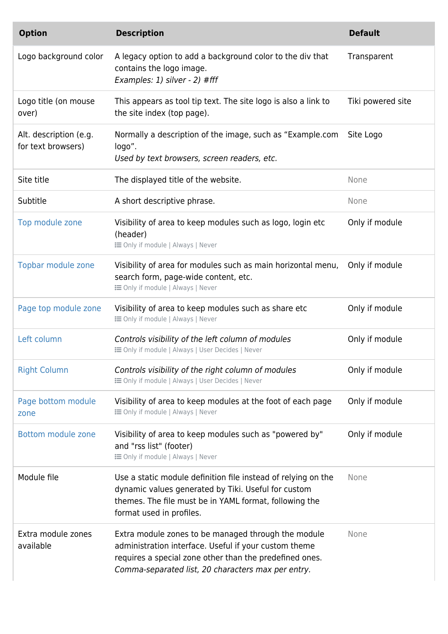| <b>Option</b>                                | <b>Description</b>                                                                                                                                                                                                            | <b>Default</b>    |
|----------------------------------------------|-------------------------------------------------------------------------------------------------------------------------------------------------------------------------------------------------------------------------------|-------------------|
| Logo background color                        | A legacy option to add a background color to the div that<br>contains the logo image.<br>Examples: 1) silver - 2) #fff                                                                                                        | Transparent       |
| Logo title (on mouse<br>over)                | This appears as tool tip text. The site logo is also a link to<br>the site index (top page).                                                                                                                                  | Tiki powered site |
| Alt. description (e.g.<br>for text browsers) | Normally a description of the image, such as "Example.com<br>logo".<br>Used by text browsers, screen readers, etc.                                                                                                            | Site Logo         |
| Site title                                   | The displayed title of the website.                                                                                                                                                                                           | None              |
| Subtitle                                     | A short descriptive phrase.                                                                                                                                                                                                   | None              |
| Top module zone                              | Visibility of area to keep modules such as logo, login etc<br>(header)<br><b>i</b> Only if module   Always   Never                                                                                                            | Only if module    |
| Topbar module zone                           | Visibility of area for modules such as main horizontal menu,<br>search form, page-wide content, etc.<br><b>i</b> Only if module   Always   Never                                                                              | Only if module    |
| Page top module zone                         | Visibility of area to keep modules such as share etc<br><b>IE Only if module   Always   Never</b>                                                                                                                             | Only if module    |
| Left column                                  | Controls visibility of the left column of modules<br><b>IE</b> Only if module   Always   User Decides   Never                                                                                                                 | Only if module    |
| <b>Right Column</b>                          | Controls visibility of the right column of modules<br><b>E</b> Only if module   Always   User Decides   Never                                                                                                                 | Only if module    |
| Page bottom module<br>zone                   | Visibility of area to keep modules at the foot of each page<br><b>IE Only if module   Always   Never</b>                                                                                                                      | Only if module    |
| Bottom module zone                           | Visibility of area to keep modules such as "powered by"<br>and "rss list" (footer)<br><b>i</b> Only if module   Always   Never                                                                                                | Only if module    |
| Module file                                  | Use a static module definition file instead of relying on the<br>dynamic values generated by Tiki. Useful for custom<br>themes. The file must be in YAML format, following the<br>format used in profiles.                    | None              |
| Extra module zones<br>available              | Extra module zones to be managed through the module<br>administration interface. Useful if your custom theme<br>requires a special zone other than the predefined ones.<br>Comma-separated list, 20 characters max per entry. | None              |